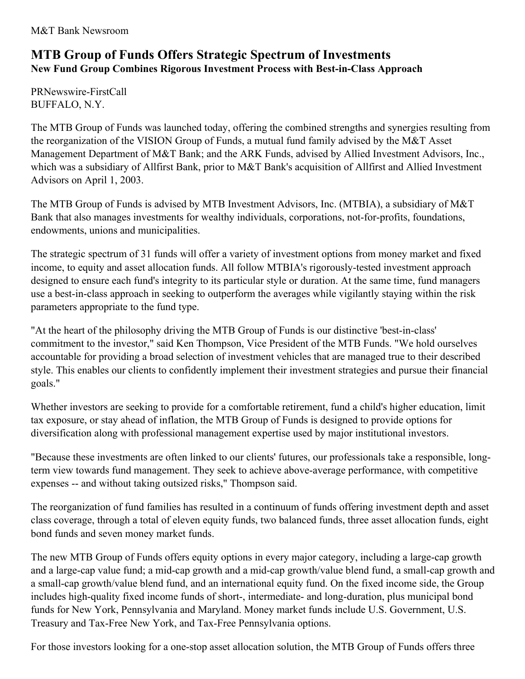## **MTB Group of Funds Offers Strategic Spectrum of Investments New Fund Group Combines Rigorous Investment Process with Best-in-Class Approach**

PRNewswire-FirstCall BUFFALO, N.Y.

The MTB Group of Funds was launched today, offering the combined strengths and synergies resulting from the reorganization of the VISION Group of Funds, a mutual fund family advised by the M&T Asset Management Department of M&T Bank; and the ARK Funds, advised by Allied Investment Advisors, Inc., which was a subsidiary of Allfirst Bank, prior to M&T Bank's acquisition of Allfirst and Allied Investment Advisors on April 1, 2003.

The MTB Group of Funds is advised by MTB Investment Advisors, Inc. (MTBIA), a subsidiary of M&T Bank that also manages investments for wealthy individuals, corporations, not-for-profits, foundations, endowments, unions and municipalities.

The strategic spectrum of 31 funds will offer a variety of investment options from money market and fixed income, to equity and asset allocation funds. All follow MTBIA's rigorously-tested investment approach designed to ensure each fund's integrity to its particular style or duration. At the same time, fund managers use a best-in-class approach in seeking to outperform the averages while vigilantly staying within the risk parameters appropriate to the fund type.

"At the heart of the philosophy driving the MTB Group of Funds is our distinctive 'best-in-class' commitment to the investor," said Ken Thompson, Vice President of the MTB Funds. "We hold ourselves accountable for providing a broad selection of investment vehicles that are managed true to their described style. This enables our clients to confidently implement their investment strategies and pursue their financial goals."

Whether investors are seeking to provide for a comfortable retirement, fund a child's higher education, limit tax exposure, or stay ahead of inflation, the MTB Group of Funds is designed to provide options for diversification along with professional management expertise used by major institutional investors.

"Because these investments are often linked to our clients' futures, our professionals take a responsible, longterm view towards fund management. They seek to achieve above-average performance, with competitive expenses -- and without taking outsized risks," Thompson said.

The reorganization of fund families has resulted in a continuum of funds offering investment depth and asset class coverage, through a total of eleven equity funds, two balanced funds, three asset allocation funds, eight bond funds and seven money market funds.

The new MTB Group of Funds offers equity options in every major category, including a large-cap growth and a large-cap value fund; a mid-cap growth and a mid-cap growth/value blend fund, a small-cap growth and a small-cap growth/value blend fund, and an international equity fund. On the fixed income side, the Group includes high-quality fixed income funds of short-, intermediate- and long-duration, plus municipal bond funds for New York, Pennsylvania and Maryland. Money market funds include U.S. Government, U.S. Treasury and Tax-Free New York, and Tax-Free Pennsylvania options.

For those investors looking for a one-stop asset allocation solution, the MTB Group of Funds offers three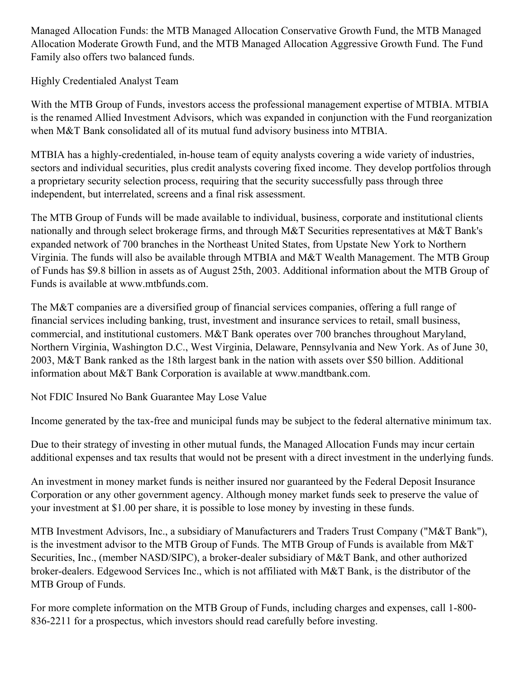Managed Allocation Funds: the MTB Managed Allocation Conservative Growth Fund, the MTB Managed Allocation Moderate Growth Fund, and the MTB Managed Allocation Aggressive Growth Fund. The Fund Family also offers two balanced funds.

Highly Credentialed Analyst Team

With the MTB Group of Funds, investors access the professional management expertise of MTBIA. MTBIA is the renamed Allied Investment Advisors, which was expanded in conjunction with the Fund reorganization when M&T Bank consolidated all of its mutual fund advisory business into MTBIA.

MTBIA has a highly-credentialed, in-house team of equity analysts covering a wide variety of industries, sectors and individual securities, plus credit analysts covering fixed income. They develop portfolios through a proprietary security selection process, requiring that the security successfully pass through three independent, but interrelated, screens and a final risk assessment.

The MTB Group of Funds will be made available to individual, business, corporate and institutional clients nationally and through select brokerage firms, and through M&T Securities representatives at M&T Bank's expanded network of 700 branches in the Northeast United States, from Upstate New York to Northern Virginia. The funds will also be available through MTBIA and M&T Wealth Management. The MTB Group of Funds has \$9.8 billion in assets as of August 25th, 2003. Additional information about the MTB Group of Funds is available at www.mtbfunds.com.

The M&T companies are a diversified group of financial services companies, offering a full range of financial services including banking, trust, investment and insurance services to retail, small business, commercial, and institutional customers. M&T Bank operates over 700 branches throughout Maryland, Northern Virginia, Washington D.C., West Virginia, Delaware, Pennsylvania and New York. As of June 30, 2003, M&T Bank ranked as the 18th largest bank in the nation with assets over \$50 billion. Additional information about M&T Bank Corporation is available at www.mandtbank.com.

Not FDIC Insured No Bank Guarantee May Lose Value

Income generated by the tax-free and municipal funds may be subject to the federal alternative minimum tax.

Due to their strategy of investing in other mutual funds, the Managed Allocation Funds may incur certain additional expenses and tax results that would not be present with a direct investment in the underlying funds.

An investment in money market funds is neither insured nor guaranteed by the Federal Deposit Insurance Corporation or any other government agency. Although money market funds seek to preserve the value of your investment at \$1.00 per share, it is possible to lose money by investing in these funds.

MTB Investment Advisors, Inc., a subsidiary of Manufacturers and Traders Trust Company ("M&T Bank"), is the investment advisor to the MTB Group of Funds. The MTB Group of Funds is available from M&T Securities, Inc., (member NASD/SIPC), a broker-dealer subsidiary of M&T Bank, and other authorized broker-dealers. Edgewood Services Inc., which is not affiliated with M&T Bank, is the distributor of the MTB Group of Funds.

For more complete information on the MTB Group of Funds, including charges and expenses, call 1-800- 836-2211 for a prospectus, which investors should read carefully before investing.